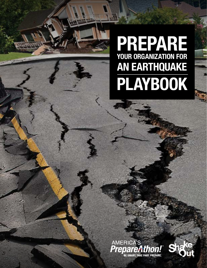# **PREPARE YOUR ORGANIZATION FOR AN EARTHQUAKE PLAYBOOK**



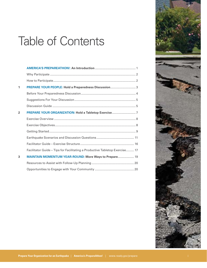# Table of Contents

| 1              | PREPARE YOUR PEOPLE: Hold a Preparedness Discussion 3                       |
|----------------|-----------------------------------------------------------------------------|
|                |                                                                             |
|                |                                                                             |
|                |                                                                             |
| $\overline{2}$ | PREPARE YOUR ORGANIZATION: Hold a Tabletop Exercise7                        |
|                |                                                                             |
|                |                                                                             |
|                |                                                                             |
|                |                                                                             |
|                |                                                                             |
|                | Facilitator Guide - Tips for Facilitating a Productive Tabletop Exercise 17 |
| 3              | <b>MAINTAIN MOMENTUM YEAR-ROUND: More Ways to Prepare 19</b>                |
|                |                                                                             |
|                |                                                                             |

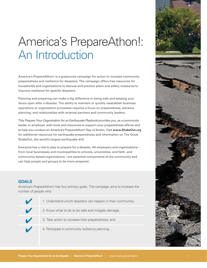# America's PrepareAthon!: An Introduction

America's PrepareAthon! is a grassroots campaign for action to increase community preparedness and resilience for disasters. The campaign offers free resources for households and organizations to discuss and practice plans and safety measures to improve resilience for specific disasters.

Planning and preparing can make a big difference in being safe and keeping your doors open after a disaster. The ability to maintain or quickly reestablish business operations or organization processes requires a focus on preparedness, advance planning, and relationships with external partners and community leaders.

This *Prepare Your Organization for an Earthquake Playbook* provides you, as a community leader or employer, with tools and resources to support your preparedness efforts and to help you conduct an America's PrepareAthon! Day of Action. Visit **www.ShakeOut.org** for additional resources for earthquake preparedness and information on The Great ShakeOut, the world's largest earthquake drill.

Everyone has a role to play to prepare for a disaster. All employers and organizations from local businesses and municipalities to schools, universities, and faith- and community-based organizations—are essential components of the community and can help people and groups to be more prepared.

#### **GOALS**

America's PrepareAthon! has four primary goals. The campaign aims to increase the number of people who:

| 1. Understand which disasters can happen in their community; |
|--------------------------------------------------------------|
| 2. Know what to do to be safe and mitigate damage;           |
| 3. Take action to increase their preparedness; and           |
| 4. Participate in community resilience planning.             |

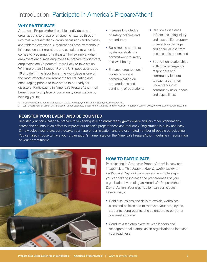### Introduction: Participate in America's PrepareAthon!

#### **WHY PARTICIPATE**

America's PrepareAthon! enables individuals and organizations to prepare for specific hazards through informative presentations, group discussions and activities, and tabletop exercises. Organizations have tremendous influence on their members and constituents when it comes to preparing for a disaster. For example, when employers encourage employees to prepare for disasters, employees are 75 percent<sup>1</sup> more likely to take action. With more than  $63$  percent<sup>2</sup> of the U.S. population aged 16 or older in the labor force, the workplace is one of the most effective environments for educating and encouraging people to take steps to be ready for disasters. Participating in America's PrepareAthon! will benefit your workplace or community organization by helping you to:

- Increase knowledge of safety policies and procedures;
- Build morale and trust by demonstrating a commitment to safety and well-being;
- Enhance organizational coordination and communication on preparedness and continuity of operations;
- Reduce a disaster's effects, including injury and loss of life, property or inventory damage, and financial loss from business disruption; and
- Strengthen relationships with local emergency responders and community leaders to reach a common understanding of community risks, needs, and capabilities.

1. Preparedness in America, August 2014. www.fema.gov/media-library/assets/documents/94717 .

2. U.S. Department of Labor, U.S. Bureau of Labor Statistics, Labor Force Statistics from the Current Population Survey, 2013, www.bls.gov/cps/cpsaat03.pdf.

#### **REGISTER YOUR EVENT AND BE COUNTED**

Register your participation to prepare for an earthquake on www.ready.gov/prepare and join other organizations across the country in an effort to improve our nation's preparedness and resiliency. Registration is quick and easy. Simply select your state, earthquake, your type of participation, and the estimated number of people participating. You can also choose to have your organization's name listed on the America's PrepareAthon! website in recognition of your commitment.



#### **HOW TO PARTICIPATE**

Participating in America's PrepareAthon! is easy and inexpensive. This *Prepare Your Organization for an Earthquake Playbook* provides some simple steps you can take to increase the preparedness of your organization by holding an America's PrepareAthon! Day of Action. Your organization can participate in several ways:

- Hold discussions and drills to explain workplace plans and policies and to motivate your employees, students, congregants, and volunteers to be better prepared at home.
- Conduct a tabletop exercise with leaders and managers to take steps as an organization to increase your readiness.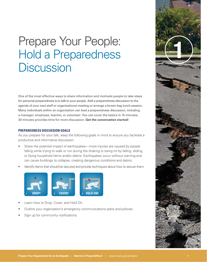# Prepare Your People:<br>Hold a Preparedness **Discussion**

One of the most effective ways to share information and motivate people to take steps for personal preparedness is to talk to your people. Add a preparedness discussion to the agenda of your next staff or organizational meeting or arrange a brown bag lunch session. Many individuals within an organization can lead a preparedness discussion, including a manager, employee, teacher, or volunteer. You can cover the basics in 15 minutes; 30 minutes provides time for more discussion. **Get the conversation started!**

#### **PREPAREDNESS DISCUSSION GOALS**

As you prepare for your talk, keep the following goals in mind to ensure you facilitate a productive and informative discussion.

- Share the potential impact of earthquakes—most injuries are caused by people falling while trying to walk or run during the shaking or being hit by falling, sliding, or flying household items and/or debris. Earthquakes occur without warning and can cause buildings to collapse, creating dangerous conditions and debris.
- Identify items that should be secured and provide techniques about how to secure them.



- Learn how to Drop, Cover, and Hold On.
- Outline your organization's emergency communications plans and policies.
- Sign up for community notifications.

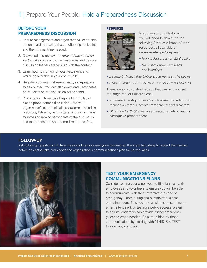## 1 | Prepare Your People: Hold a Preparedness Discussion

#### **BEFORE YOUR PREPAREDNESS DISCUSSION**

- 1. Ensure management and organizational leadership are on board by sharing the benefits of participating and the minimal time needed.
- 2. Download and review the *How to Prepare for an Earthquake* guide and other resources and be sure discussion leaders are familiar with the content.
- 3. Learn how to sign up for local text alerts and warnings available in your community.
- 4. Register your event at www.ready.gov/prepare to be counted. You can also download Certificates of Participation for discussion participants.
- 5. Promote your America's PrepareAthon! Day of Action preparedness discussion. Use your organization's communications platforms, including websites, listservs, newsletters, and social media to invite and remind participants of the discussion and to demonstrate your commitment to safety.

#### **RESOURCES**



In addition to this Playbook, you will need to download the following America's PrepareAthon! resources, all available at www.ready.gov/prepare:

- *How to Prepare for an Earthquake*
- *Be Smart: Know Your Alerts and Warnings*
- *Be Smart: Protect Your Critical Documents and Valuables*
- *Ready's Family Communication Plan for Parents and Kids*

There are also two short videos that can help you set the stage for your discussions:

- *It Started Like Any Other Day,* a four-minute video that focuses on three survivors from three recent disasters
- *When the Earth Shakes,* an animated how-to video on earthquake preparedness

#### **FOLLOW-UP**

Ask follow-up questions in future meetings to ensure everyone has learned the important steps to protect themselves before an earthquake and knows the organization's communications plan for earthquakes.



#### **TEST YOUR EMERGENCY COMMUNICATIONS PLANS**

Consider testing your employee notification plan with employees and volunteers to ensure you will be able to communicate with them effectively in case of emergency—both during and outside of business operating hours. This could be as simple as sending an email, a text alert, or testing a public address system to ensure leadership can provide critical emergency guidance when needed. Be sure to identify these communications by starting with "THIS IS A TEST" to avoid any confusion.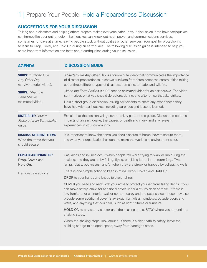## 1 | Prepare Your People: Hold a Preparedness Discussion

#### **SUGGESTIONS FOR YOUR DISCUSSION**

Talking about disasters and helping others prepare makes everyone safer. In your discussion, note how earthquakes can immobilize your entire region. Earthquakes can knock out heat, power, and communications services, sometimes for days at a time, leaving people stuck without utilities or other services. Your goal for protection is to learn to Drop, Cover, and Hold On during an earthquake. The following discussion guide is intended to help you share important information and facts about earthquakes during your discussion.

| <b>AGENDA</b>                                                                | <b>DISCUSSION GUIDE</b>                                                                                                                                                                                                                                                                                                                                                                                                                      |
|------------------------------------------------------------------------------|----------------------------------------------------------------------------------------------------------------------------------------------------------------------------------------------------------------------------------------------------------------------------------------------------------------------------------------------------------------------------------------------------------------------------------------------|
| <b>SHOW: It Started Like</b><br>Any Other Day<br>(survivor stories video).   | It Started Like Any Other Day is a four-minute video that communicates the importance<br>of disaster preparedness. It shows survivors from three American communities talking<br>about three different types of disasters: hurricane, tornado, and wildfire.<br>When the Earth Shakes is a 90-second animated video for an earthquake. The video                                                                                             |
| <b>SHOW:</b> When the<br><b>Earth Shakes</b><br>(animated video).            | summarizes what you should do before, during, and after an earthquake strikes.<br>Hold a short group discussion, asking participants to share any experiences they<br>have had with earthquakes, including surprises and lessons learned.                                                                                                                                                                                                    |
| <b>DISTRIBUTE: How to</b><br>Prepare for an Earthquake<br>guide.             | Explain that the session will go over the key parts of the guide. Discuss the potential<br>impacts of an earthquake, the causes of death and injury, and any relevant<br>experiences in your community.                                                                                                                                                                                                                                      |
| <b>DISCUSS: SECURING ITEMS</b><br>Write the items that you<br>should secure. | It is important to know the items you should secure at home, how to secure them,<br>and what your organization has done to make the workplace environment safer.                                                                                                                                                                                                                                                                             |
| <b>EXPLAIN AND PRACTICE:</b><br>Drop, Cover, and<br>Hold On.                 | Casualties and injuries occur when people fall while trying to walk or run during the<br>shaking; and they are hit by falling, flying, or sliding items in the room (e.g., TVs,<br>lamps, glass, bookcases), and/or when they are struck or trapped by collapsing walls.                                                                                                                                                                     |
| Demonstrate actions.                                                         | There is one simple action to keep in mind. Drop, Cover, and Hold On.<br>DROP to your hands and knees to avoid falling.                                                                                                                                                                                                                                                                                                                      |
|                                                                              | COVER you head and neck with your arms to protect yourself from falling debris. If you<br>can move safely, crawl for additional cover under a sturdy desk or table. If there is<br>low furniture, or an interior wall or corner nearby and the path is clear, these may also<br>provide some additional cover. Stay away from glass, windows, outside doors and<br>walls, and anything that could fall, such as light fixtures or furniture. |
|                                                                              | HOLD ON to any sturdy shelter until the shaking stops. STAY where you are until the<br>shaking stops.                                                                                                                                                                                                                                                                                                                                        |
|                                                                              | When the shaking stops, look around. If there is a clear path to safety, leave the<br>building and go to an open space, away from damaged areas.                                                                                                                                                                                                                                                                                             |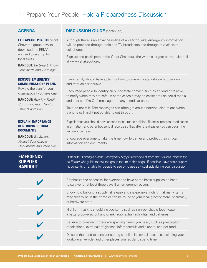## 1 | Prepare Your People: Hold a Preparedness Discussion

| <b>AGENDA</b>                                                                                                                                                                                          | <b>DISCUSSION GUIDE (continued)</b>                                                                                                                                                                                                                                                                                                                                                                                                                                                |
|--------------------------------------------------------------------------------------------------------------------------------------------------------------------------------------------------------|------------------------------------------------------------------------------------------------------------------------------------------------------------------------------------------------------------------------------------------------------------------------------------------------------------------------------------------------------------------------------------------------------------------------------------------------------------------------------------|
| <b>EXPLAIN AND PRACTICE: (cont.)</b><br>Show the group how to<br>download the FEMA<br>app and to sign up for<br>local alerts.<br><b>HANDOUT:</b> Be Smart, Know<br>Your Alerts and Warnings.           | Although there is no advance notice of an earthquake, emergency information<br>will be provided through radio and TV broadcasts and through text alerts to<br>cell phones.<br>Sign up and participate in the Great Shakeout, the world's largest earthquake drill<br>at www.shakeout.org.                                                                                                                                                                                          |
| <b>DISCUSS: EMERGENCY</b><br><b>COMMUNICATIONS PLANS</b><br>Review the plan for your<br>organization if you have one.<br><b>HANDOUT:</b> Ready's Family<br>Communication Plan for<br>Parents and Kids. | Every family should have a plan for how to communicate with each other during<br>and after an earthquake.<br>Encourage people to identify an out-of-state contact, such as a friend or relative,<br>to notify when they are safe. In some cases it may be easiest to use social media<br>and post an "I'm OK" message to many friends at once.<br>Text, do not talk. Text messages can often get around network disruptions when<br>a phone call might not be able to get through. |
| <b>EXPLAIN: IMPORTANCE</b><br><b>OF STORING CRITICAL</b><br><b>DOCUMENTS</b><br><b>HANDOUT:</b> Be Smart,<br><b>Protect Your Critical</b><br>Documents and Valuables.                                  | Explain that you should have access to insurance policies, financial records, medication<br>information, and other household records so that after the disaster you can begin the<br>recovery process.<br>Encourage everyone to take the time now to gather and protect their critical<br>information and documents.                                                                                                                                                               |
| <b>EMERGENCY</b><br><b>SUPPLIES</b><br><b>HANDOUT</b>                                                                                                                                                  | Distribute Building a Home Emergency Supply Kit checklist from the How to Prepare for<br>an Earthquake guide (or ask the group to turn to this page). If possible, have basic supply<br>kit contents on a table for people to see or to use as visual aids during your discussion.                                                                                                                                                                                                 |
|                                                                                                                                                                                                        | Emphasize the necessity for everyone to have some basic supplies on hand<br>to survive for at least three days if an emergency occurs.                                                                                                                                                                                                                                                                                                                                             |
|                                                                                                                                                                                                        | Show how building a supply kit is easy and inexpensive, noting that many items<br>may already be in the home or can be found at your local grocery store, pharmacy,<br>or hardware store.                                                                                                                                                                                                                                                                                          |
|                                                                                                                                                                                                        | Highlight that kits should include items such as non-perishable food, water,<br>a battery-powered or hand-crank radio, extra flashlights, and batteries.                                                                                                                                                                                                                                                                                                                           |
|                                                                                                                                                                                                        | Be sure to consider if there are specialty items you need, such as prescription<br>medications, extra pair of glasses, infant formula and diapers, and pet food.                                                                                                                                                                                                                                                                                                                   |
|                                                                                                                                                                                                        | Discuss the need to consider storing supplies in several locations, including your<br>workplace, vehicle, and other places you regularly spend time.                                                                                                                                                                                                                                                                                                                               |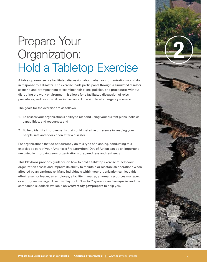A tabletop exercise is a facilitated discussion about what your organization would do in response to a disaster. The exercise leads participants through a simulated disaster scenario and prompts them to examine their plans, policies, and procedures without disrupting the work environment. It allows for a facilitated discussion of roles, procedures, and responsibilities in the context of a simulated emergency scenario.

The goals for the exercise are as follows:

- 1. To assess your organization's ability to respond using your current plans, policies, capabilities, and resources; and
- 2. To help identify improvements that could make the difference in keeping your people safe and doors open after a disaster.

For organizations that do not currently do this type of planning, conducting this exercise as part of your America's PrepareAthon! Day of Action can be an important next step in improving your organization's preparedness and resiliency.

This Playbook provides guidance on how to hold a tabletop exercise to help your organization assess and improve its ability to maintain or reestablish operations when affected by an earthquake. Many individuals within your organization can lead this effort: a senior leader, an employee, a facility manager, a human resources manager, or a program manager. Use this Playbook, *How to Prepare for an Earthquake*, and the companion slidedeck available on **www.ready.gov/prepare** to help you.

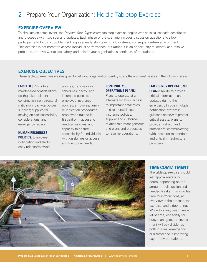#### **EXERCISE OVERVIEW**

To simulate an actual event, the *Prepare Your Organization* tabletop exercise begins with an initial scenario description and proceeds with two scenario updates. Each phase of the scenario includes discussion questions to allow participants to focus on problem solving as a leadership team in a low-stress, consequence-free environment. This exercise is not meant to assess individual performance, but rather, it is an opportunity to identify and resolve problems, improve workplace safety, and bolster your organization's continuity of operations.

#### **EXERCISE OBJECTIVES**

These tabletop exercises are designed to help your organization identify strengths and weaknesses in the following areas:

**FACILITIES:** Structural maintenance considerations; earthquake resistant construction; non-structural mitigation; back-up power supplies; supplies for staying on-site; accessibility considerations; and emergency repairs.

**HUMAN RESOURCES POLICIES:** Employee notification and alerts; early release/telework

policies; flexible work schedules; payroll and insurance policies; employee insurance policies; employee/family reunification procedures; employees trained in first-aid with access to medical supplies; and capacity to ensure accessibility for individuals with disabilities or access and functional needs.

#### **CONTINUITY OF OPERATIONS PLANS:**

Plans to operate at an alternate location; access to important data; roles and responsibilities; insurance policies; supplier and customer relationship management; and plans and processes to resume operations.

#### **EMERGENCY OPERATIONS**

**PLANS: Ability to provide** critical information and updates during the emergency through multiple notification systems; guidance on how to protect critical assets; plans to provide first aid; and protocols for communicating with local first responders and critical infrastructure providers.



#### **TIME COMMITMENT**

The tabletop exercise should last approximately 2–3 hours, depending on the amount of discussion and needed breaks. This includes time for introductions, an overview of the process, the exercise, and a debriefing. While this may seem like a lot of time, especially for busy managers, the investment will pay dividends both in a real emergency or disaster and in improving day-to-day operations.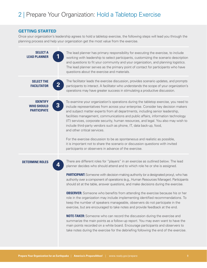#### **GETTING STARTED**

Once your organization's leadership agrees to hold a tabletop exercise, the following steps will lead you through the planning process and help your organization get the most value from the exercise.

| <b>SELECT A</b><br><b>LEAD PLANNER</b>                     |                         | The lead planner has primary responsibility for executing the exercise, to include<br>working with leadership to select participants, customizing the scenario description<br>and questions to fit your community and your organization, and planning logistics.<br>The lead planner serves as the primary point of contact for participants who have<br>questions about the exercise and materials.                                                                                                                                                                                                                                                                                                                                                                                                                                                                                                                                                                                                                                                                                                                                      |
|------------------------------------------------------------|-------------------------|-------------------------------------------------------------------------------------------------------------------------------------------------------------------------------------------------------------------------------------------------------------------------------------------------------------------------------------------------------------------------------------------------------------------------------------------------------------------------------------------------------------------------------------------------------------------------------------------------------------------------------------------------------------------------------------------------------------------------------------------------------------------------------------------------------------------------------------------------------------------------------------------------------------------------------------------------------------------------------------------------------------------------------------------------------------------------------------------------------------------------------------------|
| <b>SELECT THE</b><br><b>FACILITATOR</b>                    | $\mathbf{2}$            | The facilitator leads the exercise discussion, provides scenario updates, and prompts<br>participants to interact. A facilitator who understands the scope of your organization's<br>operations may have greater success in stimulating a productive discussion.                                                                                                                                                                                                                                                                                                                                                                                                                                                                                                                                                                                                                                                                                                                                                                                                                                                                          |
| <b>IDENTIFY</b><br><b>WHO SHOULD</b><br><b>PARTICIPATE</b> | $\overline{\mathbf{3}}$ | To examine your organization's operations during the tabletop exercise, you need to<br>include representatives from across your enterprise. Consider key decision makers<br>and subject matter experts from all departments, including senior leadership,<br>facilities management, communications and public affairs, information technology<br>(IT) services, corporate security, human resources, and legal. You also may wish to<br>include third-party vendors such as phone, IT, data back-up, food,<br>and other critical services.<br>For the exercise discussion to be as spontaneous and realistic as possible,<br>it is important not to share the scenario or discussion questions with invited<br>participants or observers in advance of the exercise.                                                                                                                                                                                                                                                                                                                                                                      |
| <b>DETERMINE ROLES</b>                                     | 4                       | There are different roles for "players" in an exercise as outlined below. The lead<br>planner decides who should attend and to which role he or she is assigned.<br><b>PARTICIPANT:</b> Someone with decision-making authority (or a designated proxy), who has<br>authority over a component of operations (e.g., Human Resources Manager). Participants<br>should sit at the table, answer questions, and make decisions during the exercise.<br><b>OBSERVER:</b> Someone who benefits from attending the exercise because his or her<br>role in the organization may include implementing identified recommendations. To<br>keep the number of speakers manageable, observers do not participate in the<br>exercise, but are encouraged to take notes and provide feedback at the end.<br><b>NOTE-TAKER:</b> Someone who can record the discussion during the exercise and<br>summarize the main points as a follow-up report. You may even want to have the<br>main points recorded on a white board. Encourage participants and observers to<br>take notes during the exercise for the debriefing following the end of the exercise. |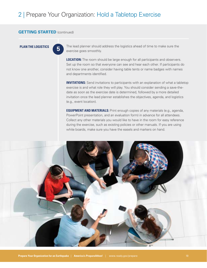#### **GETTING STARTED** (continued)

**5**

**PLAN THE LOGISTICS** The lead planner should address the logistics ahead of time to make sure the exercise goes smoothly.

> **LOCATION:** The room should be large enough for all participants and observers. Set up the room so that everyone can see and hear each other. If participants do not know one another, consider having table tents or name badges with names and departments identified.

**INVITATIONS:** Send invitations to participants with an explanation of what a tabletop exercise is and what role they will play. You should consider sending a save-thedate as soon as the exercise date is determined, followed by a more detailed invitation once the lead planner establishes the objectives, agenda, and logistics (e.g., event location).

**EQUIPMENT AND MATERIALS:** Print enough copies of any materials (e.g., agenda, PowerPoint presentation, and an evaluation form) in advance for all attendees. Collect any other materials you would like to have in the room for easy reference during the exercise, such as existing policies or other manuals. If you are using white boards, make sure you have the easels and markers on hand.

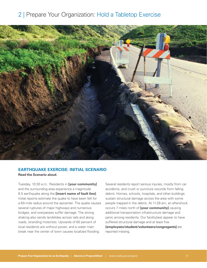

#### **EARTHQUAKE EXERCISE: INITIAL SCENARIO**

**Read the Scenario aloud.**

Tuesday, 10:30 a.m.: Residents in **[your community]**  and the surrounding area experience a magnitude 6.5 earthquake along the **[insert name of fault line]**. Initial reports estimate the quake to have been felt for a 60-mile radius around the epicenter. The quake causes several ruptures of major highways and numerous bridges, and overpasses suffer damage. The strong shaking also sends landslides across rails and along roads, stranding motorists. Upwards of 60 percent of local residents are without power, and a water main break near the center of town causes localized flooding.

Several residents report serious injuries, mostly from car accidents, and crush or puncture wounds from falling debris. Homes, schools, hospitals, and other buildings sustain structural damage across the area with some people trapped in the debris. At 11:28 am, an aftershock occurs 7 miles north of **[your community]** causing additional transportation infrastructure damage and panic among residents. Our facility(ies) appear to have suffered structural damage and at least five **[employees/student/volunteers/congregants]** are reported missing.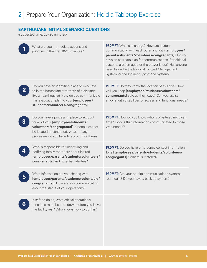#### **EARTHQUAKE INITIAL SCENARIO QUESTIONS**

(suggested time: 20–25 minutes)

|   | What are your immediate actions and<br>priorities in the first 10-15 minutes?                                                                                                                                             | <b>PROMPT:</b> Who is in charge? How are leaders<br>communicating with each other and with [employees/<br>parents/students/volunteers/congregants]? Do you<br>have an alternate plan for communications if traditional<br>systems are damaged or the power is out? Has anyone<br>been trained in the National Incident Management<br>System <sup>1</sup> or the Incident Command System? |
|---|---------------------------------------------------------------------------------------------------------------------------------------------------------------------------------------------------------------------------|------------------------------------------------------------------------------------------------------------------------------------------------------------------------------------------------------------------------------------------------------------------------------------------------------------------------------------------------------------------------------------------|
|   | Do you have an identified place to evacuate<br>to in the immediate aftermath of a disaster<br>like an earthquake? How do you communicate<br>this evacuation plan to your [employees/<br>students/volunteers/congregants]? | <b>PROMPT:</b> Do they know the location of this site? How<br>will you keep [employees/students/volunteers/<br>congregants] safe as they leave? Can you assist<br>anyone with disabilities or access and functional needs?                                                                                                                                                               |
|   | Do you have a process in place to account<br>for all of your [employees/students/<br>volunteers/congregants]? If people cannot<br>be located or contacted, what-if any-<br>processes do you have to account for them?     | <b>PROMPT:</b> How do you know who is on-site at any given<br>time? How is that information communicated to those<br>who need it?                                                                                                                                                                                                                                                        |
|   | Who is responsible for identifying and<br>notifying family members about injured<br>[employees/parents/students/volunteers/<br>congregants] and potential fatalities?                                                     | <b>PROMPT:</b> Do you have emergency contact information<br>for all [employees/parents/students/volunteers/<br>congregants]? Where is it stored?                                                                                                                                                                                                                                         |
|   | What information are you sharing with<br>[employees/parents/students/volunteers/<br>congregants]? How are you communicating<br>about the status of your operations?                                                       | <b>PROMPT:</b> Are your on-site communications systems<br>redundant? Do you have a back-up system?                                                                                                                                                                                                                                                                                       |
| 6 | If safe to do so, what critical operations/<br>functions must be shut down before you leave<br>the facility (ies)? Who knows how to do this?                                                                              |                                                                                                                                                                                                                                                                                                                                                                                          |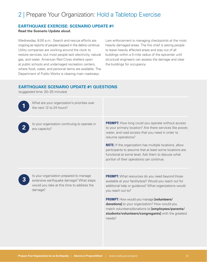#### **EARTHQUAKE EXERCISE: SCENARIO UPDATE #1**

**Read the Scenario Update aloud.**

Wednesday, 8:00 a.m.: Search and rescue efforts are ongoing as reports of people trapped in the debris continue. Utility companies are working around the clock to restore services, but most people lack electricity, natural gas, and water. American Red Cross shelters open at public schools and undamaged recreation centers, where food, water, and personal items are available. The Department of Public Works is clearing main roadways.

Law enforcement is managing checkpoints at the most heavily damaged areas. The fire chief is asking people to leave heavily affected areas and stay out of all buildings within a 5-mile radius of the epicenter until structural engineers can assess the damage and clear the buildings for occupancy.

#### **EARTHQUAKE SCENARIO UPDATE #1 QUESTIONS**

(suggested time: 20–25 minutes)



What are your organization's priorities over the next 12 to 24 hours?



Is your organization continuing to operate in any capacity?

**PROMPT:** How long could you operate without access to your primary location? Are there services like power, water, and road access that you need in order to resume operations?

**NOTE:** If the organization has multiple locations, allow participants to assume that at least some locations are functional at some level. Ask them to discuss what portion of their operations can continue.

**3**

Is your organization prepared to manage extensive earthquake damage? What steps would you take at this time to address the damage?

**PROMPT:** What resources do you need beyond those available at your facility(ies)? Would you reach out for additional help or guidance? What organizations would you reach out to?

**PROMPT:** How would you manage **[volunteers/ donations]** to your organization? How would you match volunteers/donations to **[employees/parents/ students/volunteers/congregants]** with the greatest needs?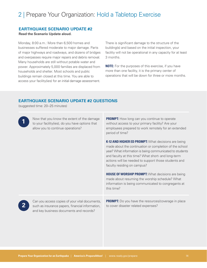#### **EARTHQUAKE SCENARIO UPDATE #2**

#### **Read the Scenario Update aloud.**

Monday, 8:00 a.m.: More than 6,500 homes and businesses suffered moderate to major damage. Parts of major highways and roadways, and dozens of bridges and overpasses require major repairs and debris removal. Many households are still without potable water and power. Approximately 5,000 families are displaced from households and shelter. Most schools and public buildings remain closed at this time. You are able to access your facility(ies) for an initial damage assessment.

There is significant damage to the structure of the building(s) and based on the initial inspection, your facility will not be operational in any capacity for at least 3 months.

**NOTE:** For the purposes of this exercise, if you have more than one facility, it is the primary center of operations that will be down for three or more months.

#### **EARTHQUAKE SCENARIO UPDATE #2 QUESTIONS**

(suggested time: 20–25 minutes)

Now that you know the extent of the damage to your facility(ies), do you have options that allow you to continue operations?

**PROMPT:** How long can you continue to operate without access to your primary facility? Are your employees prepared to work remotely for an extended period of time?

**K-12 AND HIGHER ED PROMPT:** What decisions are being made about the continuation or completion of the school year? What information is being communicated to students and faculty at this time? What short- and long-term actions will be needed to support those students and faculty residing on campus?

**HOUSE OF WORSHIP PROMPT:** What decisions are being made about resuming the worship schedule? What information is being communicated to congregants at this time?

**2**

**1**

Can you access copies of your vital documents, such as insurance papers, financial information, and key business documents and records?

**PROMPT:** Do you have the resources/coverage in place to cover disaster related expenses?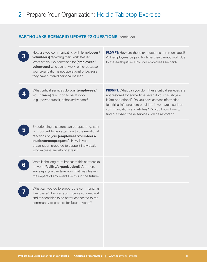#### **EARTHQUAKE SCENARIO UPDATE #2 QUESTIONS** (continued)

|   | How are you communicating with [employees/<br>volunteers] regarding their work status?<br>What are your expectations for [employees/<br>volunteers] who cannot work, either because<br>your organization is not operational or because<br>they have suffered personal losses? | <b>PROMPT:</b> How are these expectations communicated?<br>Will employees be paid for time they cannot work due<br>to the earthquake? How will employees be paid?                                                                                                                                                                                   |
|---|-------------------------------------------------------------------------------------------------------------------------------------------------------------------------------------------------------------------------------------------------------------------------------|-----------------------------------------------------------------------------------------------------------------------------------------------------------------------------------------------------------------------------------------------------------------------------------------------------------------------------------------------------|
|   | What critical services do your [employees/<br><b>volunteers]</b> rely upon to be at work<br>(e.g., power, transit, schools/day care)?                                                                                                                                         | <b>PROMPT:</b> What can you do if these critical services are<br>not restored for some time, even if your facility(ies)<br>is/are operational? Do you have contact information<br>for critical infrastructure providers in your area, such as<br>communications and utilities? Do you know how to<br>find out when these services will be restored? |
|   | Experiencing disasters can be upsetting, so it<br>is important to pay attention to the emotional<br>reactions of your [employees/volunteers/<br>students/congregants]. How is your<br>organization prepared to support individuals<br>who express anxiety or stress?          |                                                                                                                                                                                                                                                                                                                                                     |
| b | What is the long-term impact of this earthquake<br>on your [facility/organization]? Are there<br>any steps you can take now that may lessen<br>the impact of any event like this in the future?                                                                               |                                                                                                                                                                                                                                                                                                                                                     |
|   | What can you do to support the community as<br>it recovers? How can you improve your network<br>and relationships to be better connected to the<br>community to prepare for future events?                                                                                    |                                                                                                                                                                                                                                                                                                                                                     |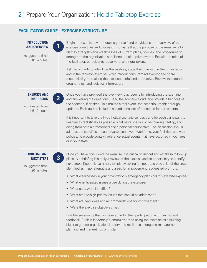#### **FACILITATOR GUIDE - EXERCISE STRUCTURE**

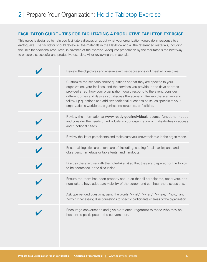#### **FACILITATOR GUIDE – TIPS FOR FACILITATING A PRODUCTIVE TABLETOP EXERCISE**

This guide is designed to help you facilitate a discussion about what your organization would do in response to an earthquake. The facilitator should review all the materials in the Playbook and all the referenced materials, including the links for additional resources, in advance of the exercise. Adequate preparation by the facilitator is the best way to ensure a successful and productive exercise. After reviewing the materials:

| Review the objectives and ensure exercise discussions will meet all objectives.                                                                                                                                                                                                                                                                                                                                                                                                        |
|----------------------------------------------------------------------------------------------------------------------------------------------------------------------------------------------------------------------------------------------------------------------------------------------------------------------------------------------------------------------------------------------------------------------------------------------------------------------------------------|
| Customize the scenario and/or questions so that they are specific to your<br>organization, your facilities, and the services you provide. If the days or times<br>provided affect how your organization would respond to the event, consider<br>different times and days as you discuss the scenario. Review the scenario and<br>follow-up questions and add any additional questions or issues specific to your<br>organization's workforce, organizational structure, or facilities. |
| Review the information at www.ready.gov/individuals-access-functional-needs<br>and consider the needs of individuals in your organization with disabilities or access<br>and functional needs.                                                                                                                                                                                                                                                                                         |
| Review the list of participants and make sure you know their role in the organization.                                                                                                                                                                                                                                                                                                                                                                                                 |
| Ensure all logistics are taken care of, including: seating for all participants and<br>observers, nametags or table tents, and handouts.                                                                                                                                                                                                                                                                                                                                               |
| Discuss the exercise with the note-taker(s) so that they are prepared for the topics<br>to be addressed in the discussion.                                                                                                                                                                                                                                                                                                                                                             |
| Ensure the room has been properly set up so that all participants, observers, and<br>note-takers have adequate visibility of the screen and can hear the discussions.                                                                                                                                                                                                                                                                                                                  |
| Ask open-ended questions, using the words "what," "when," "where," "how," and<br>"why." If necessary, direct questions to specific participants or areas of the organization.                                                                                                                                                                                                                                                                                                          |
| Encourage conversation and give extra encouragement to those who may be<br>hesitant to participate in the conversation.                                                                                                                                                                                                                                                                                                                                                                |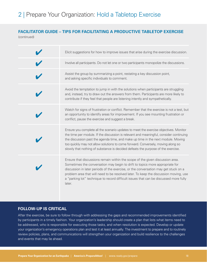#### **FACILITATOR GUIDE – TIPS FOR FACILITATING A PRODUCTIVE TABLETOP EXERCISE** (continued)

 $\checkmark$  $\checkmark$  $\checkmark$  $\checkmark$  $\overline{\mathbf{v}}$  $\checkmark$  $\checkmark$ Elicit suggestions for how to improve issues that arise during the exercise discussion. Involve all participants. Do not let one or two participants monopolize the discussions. Assist the group by summarizing a point, restating a key discussion point, and asking specific individuals to comment. Avoid the temptation to jump in with the solutions when participants are struggling and, instead, try to draw out the answers from them. Participants are more likely to contribute if they feel that people are listening intently and sympathetically. Watch for signs of frustration or conflict. Remember that the exercise is not a test, but an opportunity to identify areas for improvement. If you see mounting frustration or conflict, pause the exercise and suggest a break. Ensure you complete all the scenario updates to meet the exercise objectives. Monitor the time per module. If the discussion is relevant and meaningful, consider continuing the discussion past the agenda time, and make up time in the next module. Moving too quickly may not allow solutions to come forward. Conversely, moving along so slowly that nothing of substance is decided defeats the purpose of the exercise. Ensure that discussions remain within the scope of the given discussion area. Sometimes the conversation may begin to drift to topics more appropriate for discussion in later periods of the exercise, or the conversation may get stuck on a problem area that will need to be resolved later. To keep the discussion moving, use a "parking lot" technique to record difficult issues that can be discussed more fully later.

#### **FOLLOW-UP IS CRITICAL**

After the exercise, be sure to follow through with addressing the gaps and recommended improvements identified by participants in a timely fashion. Your organization's leadership should create a plan that lists what items need to be addressed, who is responsible for executing those tasks, and when resolution is expected. Develop or update your organization's emergency operations plan and test it at least annually. The investment to prepare and to routinely review policies, plans, and communications will strengthen your organization and build resilience to the challenges and events that may lie ahead.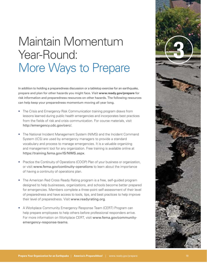## **3** Maintain Momentum Year-Round: More Ways to Prepare

In addition to holding a preparedness discussion or a tabletop exercise for an earthquake, prepare and plan for other hazards you might face. Visit **www.ready.gov/prepare** for risk information and preparedness resources on other hazards. The following resources can help keep your preparedness momentum moving all year long.

- The Crisis and Emergency Risk Communication training program draws from lessons learned during public health emergencies and incorporates best practices from the fields of risk and crisis communication. For course materials, visit http://emergency.cdc.gov/cerc/.
- The National Incident Management System (NIMS) and the Incident Command System (ICS) are used by emergency managers to provide a standard vocabulary and process to manage emergencies. It is a valuable organizing and management tool for any organization. Free training is available online at https://training.fema.gov/IS/NIMS.aspx.
- Practice the Continuity of Operations (COOP) Plan of your business or organization, or visit www.fema.gov/continuity-operations to learn about the importance of having a continuity of operations plan.
- The American Red Cross Ready Rating program is a free, self-guided program designed to help businesses, organizations, and schools become better prepared for emergencies. Members complete a three-point self-assessment of their level of preparedness and have access to tools, tips, and best practices to help improve their level of preparedness. Visit www.readyrating.org.
- A Workplace Community Emergency Response Team (CERT) Program can help prepare employees to help others before professional responders arrive. For more information on Workplace CERT, visit www.fema.gov/communityemergency-response-teams.